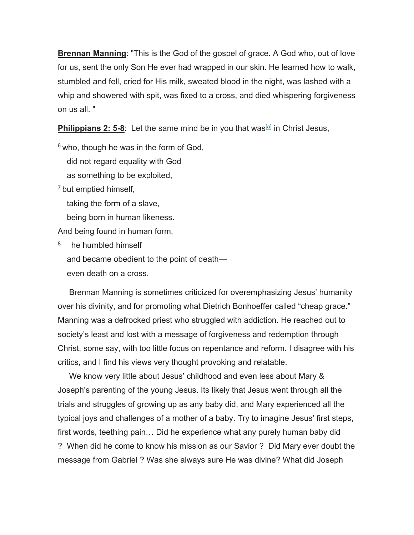**Brennan Manning**: "This is the God of the gospel of grace. A God who, out of love for us, sent the only Son He ever had wrapped in our skin. He learned how to walk, stumbled and fell, cried for His milk, sweated blood in the night, was lashed with a whip and showered with spit, was fixed to a cross, and died whispering forgiveness on us all. "

**Philippians 2: 5-8**: Let the same mind be in you that was<sup>[a]</sup> in Christ Jesus,

 $6$  who, though he was in the form of God,

did not regard equality with God

as something to be exploited,

7 but emptied himself,

taking the form of a slave,

being born in human likeness.

And being found in human form,

<sup>8</sup> he humbled himself and became obedient to the point of death even death on a cross.

 Brennan Manning is sometimes criticized for overemphasizing Jesus' humanity over his divinity, and for promoting what Dietrich Bonhoeffer called "cheap grace." Manning was a defrocked priest who struggled with addiction. He reached out to society's least and lost with a message of forgiveness and redemption through Christ, some say, with too little focus on repentance and reform. I disagree with his critics, and I find his views very thought provoking and relatable.

 We know very little about Jesus' childhood and even less about Mary & Joseph's parenting of the young Jesus. Its likely that Jesus went through all the trials and struggles of growing up as any baby did, and Mary experienced all the typical joys and challenges of a mother of a baby. Try to imagine Jesus' first steps, first words, teething pain… Did he experience what any purely human baby did ? When did he come to know his mission as our Savior ? Did Mary ever doubt the message from Gabriel ? Was she always sure He was divine? What did Joseph